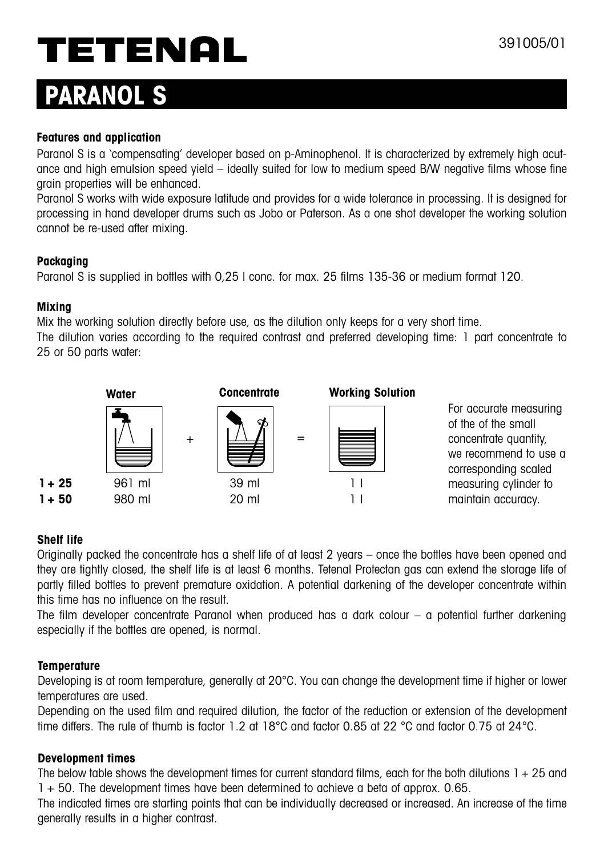# TETENAL

# **PARANOL S**

#### **Features and application**

Paranol S is a 'compensating' developer based on p-Aminophenol. It is characterized by extremely high acutance and high emulsion speed yield – ideally suited for low to medium speed B/W negative films whose fine grain properties will be enhanced.

Paranol S works with wide exposure latitude and provides for a wide tolerance in processing. It is designed for processing in hand developer drums such as Jobo or Paterson. As a one shot developer the working solution cannot be re-used after mixing.

#### **Packaging**

Paranol S is supplied in bottles with 0,25 l conc. for max. 25 films 135-36 or medium format 120.

#### **Mixing**

Mix the working solution directly before use, as the dilution only keeps for a very short time.

The dilution varies according to the required contrast and preferred developing time: 1 part concentrate to 25 or 50 parts water:



## **Shelf life**

Originally packed the concentrate has a shelf life of at least 2 years – once the bottles have been opened and they are tightly closed, the shelf life is at least 6 months. Tetenal Protectan gas can extend the storage life of partly filled bottles to prevent premature oxidation. A potential darkening of the developer concentrate within this time has no influence on the result.

The film developer concentrate Paranol when produced has a dark colour – a potential further darkening especially if the bottles are opened, is normal.

## **Temperature**

Developing is at room temperature, generally at 20°C. You can change the development time if higher or lower temperatures are used.

Depending on the used film and required dilution, the factor of the reduction or extension of the development time differs. The rule of thumb is factor 1.2 at 18°C and factor 0.85 at 22 °C and factor 0.75 at 24°C.

#### **Development times**

The below table shows the development times for current standard films, each for the both dilutions  $1 + 25$  and 1 + 50. The development times have been determined to achieve a beta of approx. 0.65.

The indicated times are starting points that can be individually decreased or increased. An increase of the time generally results in a higher contrast.